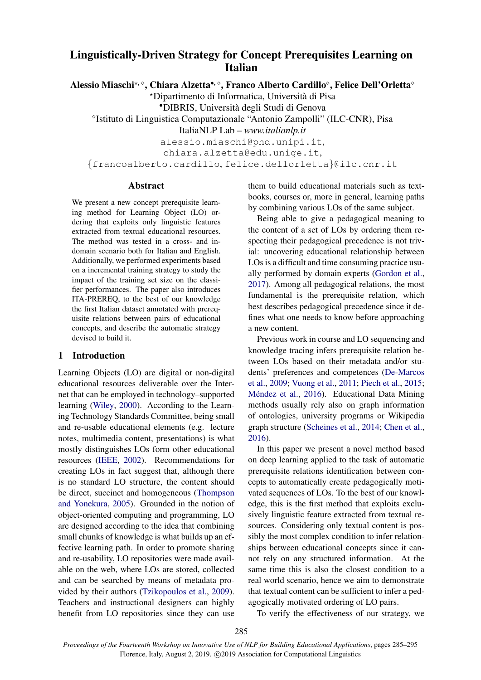# Linguistically-Driven Strategy for Concept Prerequisites Learning on Italian

Alessio Miaschi\*,  $^{\circ}$ , Chiara Alzetta\*,  $^{\circ}$ , Franco Alberto Cardillo $^{\circ}$ , Felice Dell'Orletta $^{\circ}$ 

?Dipartimento di Informatica, Universita di Pisa `

•DIBRIS, Universita degli Studi di Genova `

<sup>o</sup>Istituto di Linguistica Computazionale "Antonio Zampolli" (ILC-CNR), Pisa

ItaliaNLP Lab – *www.italianlp.it*

alessio.miaschi@phd.unipi.it,

chiara.alzetta@edu.unige.it,

{francoalberto.cardillo, felice.dellorletta}@ilc.cnr.it

#### Abstract

We present a new concept prerequisite learning method for Learning Object (LO) ordering that exploits only linguistic features extracted from textual educational resources. The method was tested in a cross- and indomain scenario both for Italian and English. Additionally, we performed experiments based on a incremental training strategy to study the impact of the training set size on the classifier performances. The paper also introduces ITA-PREREQ, to the best of our knowledge the first Italian dataset annotated with prerequisite relations between pairs of educational concepts, and describe the automatic strategy devised to build it.

## 1 Introduction

Learning Objects (LO) are digital or non-digital educational resources deliverable over the Internet that can be employed in technology–supported learning [\(Wiley,](#page-9-0) [2000\)](#page-9-0). According to the Learning Technology Standards Committee, being small and re-usable educational elements (e.g. lecture notes, multimedia content, presentations) is what mostly distinguishes LOs form other educational resources [\(IEEE,](#page-9-1) [2002\)](#page-9-1). Recommendations for creating LOs in fact suggest that, although there is no standard LO structure, the content should be direct, succinct and homogeneous [\(Thompson](#page-9-2) [and Yonekura,](#page-9-2) [2005\)](#page-9-2). Grounded in the notion of object-oriented computing and programming, LO are designed according to the idea that combining small chunks of knowledge is what builds up an effective learning path. In order to promote sharing and re-usability, LO repositories were made available on the web, where LOs are stored, collected and can be searched by means of metadata provided by their authors [\(Tzikopoulos et al.,](#page-9-3) [2009\)](#page-9-3). Teachers and instructional designers can highly benefit from LO repositories since they can use them to build educational materials such as textbooks, courses or, more in general, learning paths by combining various LOs of the same subject.

Being able to give a pedagogical meaning to the content of a set of LOs by ordering them respecting their pedagogical precedence is not trivial: uncovering educational relationship between LOs is a difficult and time consuming practice usually performed by domain experts [\(Gordon et al.,](#page-9-4) [2017\)](#page-9-4). Among all pedagogical relations, the most fundamental is the prerequisite relation, which best describes pedagogical precedence since it defines what one needs to know before approaching a new content.

Previous work in course and LO sequencing and knowledge tracing infers prerequisite relation between LOs based on their metadata and/or students' preferences and competences [\(De-Marcos](#page-8-0) [et al.,](#page-8-0) [2009;](#page-8-0) [Vuong et al.,](#page-9-5) [2011;](#page-9-5) [Piech et al.,](#page-9-6) [2015;](#page-9-6) Méndez et al., [2016\)](#page-9-7). Educational Data Mining methods usually rely also on graph information of ontologies, university programs or Wikipedia graph structure [\(Scheines et al.,](#page-9-8) [2014;](#page-9-8) [Chen et al.,](#page-8-1) [2016\)](#page-8-1).

In this paper we present a novel method based on deep learning applied to the task of automatic prerequisite relations identification between concepts to automatically create pedagogically motivated sequences of LOs. To the best of our knowledge, this is the first method that exploits exclusively linguistic feature extracted from textual resources. Considering only textual content is possibly the most complex condition to infer relationships between educational concepts since it cannot rely on any structured information. At the same time this is also the closest condition to a real world scenario, hence we aim to demonstrate that textual content can be sufficient to infer a pedagogically motivated ordering of LO pairs.

To verify the effectiveness of our strategy, we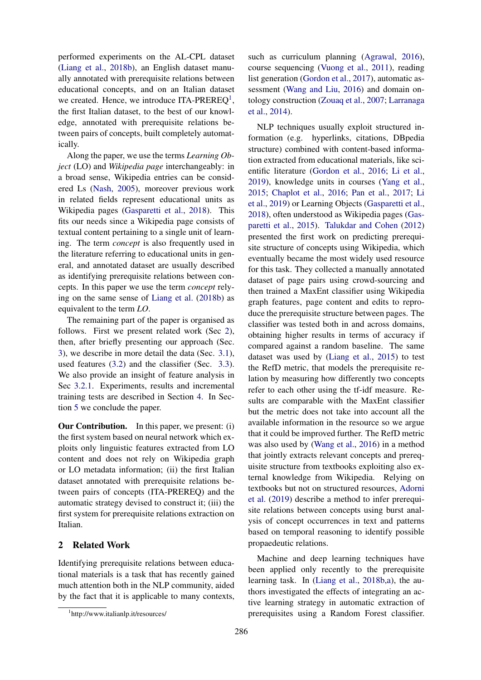performed experiments on the AL-CPL dataset [\(Liang et al.,](#page-9-9) [2018b\)](#page-9-9), an English dataset manually annotated with prerequisite relations between educational concepts, and on an Italian dataset we created. Hence, we introduce ITA-PREREQ<sup>[1](#page-1-0)</sup>, the first Italian dataset, to the best of our knowledge, annotated with prerequisite relations between pairs of concepts, built completely automatically.

Along the paper, we use the terms *Learning Object* (LO) and *Wikipedia page* interchangeably: in a broad sense, Wikipedia entries can be considered Ls [\(Nash,](#page-9-10) [2005\)](#page-9-10), moreover previous work in related fields represent educational units as Wikipedia pages [\(Gasparetti et al.,](#page-8-2) [2018\)](#page-8-2). This fits our needs since a Wikipedia page consists of textual content pertaining to a single unit of learning. The term *concept* is also frequently used in the literature referring to educational units in general, and annotated dataset are usually described as identifying prerequisite relations between concepts. In this paper we use the term *concept* relying on the same sense of [Liang et al.](#page-9-9) [\(2018b\)](#page-9-9) as equivalent to the term *LO*.

The remaining part of the paper is organised as follows. First we present related work (Sec [2\)](#page-1-1), then, after briefly presenting our approach (Sec. [3\)](#page-2-0), we describe in more detail the data (Sec. [3.1\)](#page-2-1), used features [\(3.2\)](#page-3-0) and the classifier (Sec. [3.3\)](#page-4-0). We also provide an insight of feature analysis in Sec [3.2.1.](#page-4-1) Experiments, results and incremental training tests are described in Section [4.](#page-4-2) In Section [5](#page-8-3) we conclude the paper.

Our Contribution. In this paper, we present: (i) the first system based on neural network which exploits only linguistic features extracted from LO content and does not rely on Wikipedia graph or LO metadata information; (ii) the first Italian dataset annotated with prerequisite relations between pairs of concepts (ITA-PREREQ) and the automatic strategy devised to construct it; (iii) the first system for prerequisite relations extraction on Italian.

## <span id="page-1-1"></span>2 Related Work

Identifying prerequisite relations between educational materials is a task that has recently gained much attention both in the NLP community, aided by the fact that it is applicable to many contexts, such as curriculum planning [\(Agrawal,](#page-8-4) [2016\)](#page-8-4), course sequencing [\(Vuong et al.,](#page-9-5) [2011\)](#page-9-5), reading list generation [\(Gordon et al.,](#page-9-4) [2017\)](#page-9-4), automatic assessment [\(Wang and Liu,](#page-9-11) [2016\)](#page-9-11) and domain ontology construction [\(Zouaq et al.,](#page-10-0) [2007;](#page-10-0) [Larranaga](#page-9-12) [et al.,](#page-9-12) [2014\)](#page-9-12).

NLP techniques usually exploit structured information (e.g. hyperlinks, citations, DBpedia structure) combined with content-based information extracted from educational materials, like scientific literature [\(Gordon et al.,](#page-9-13) [2016;](#page-9-13) [Li et al.,](#page-9-14) [2019\)](#page-9-14), knowledge units in courses [\(Yang et al.,](#page-10-1) [2015;](#page-10-1) [Chaplot et al.,](#page-8-5) [2016;](#page-8-5) [Pan et al.,](#page-9-15) [2017;](#page-9-15) [Li](#page-9-14) [et al.,](#page-9-14) [2019\)](#page-9-14) or Learning Objects [\(Gasparetti et al.,](#page-8-2) [2018\)](#page-8-2), often understood as Wikipedia pages [\(Gas](#page-8-6)[paretti et al.,](#page-8-6) [2015\)](#page-8-6). [Talukdar and Cohen](#page-9-16) [\(2012\)](#page-9-16) presented the first work on predicting prerequisite structure of concepts using Wikipedia, which eventually became the most widely used resource for this task. They collected a manually annotated dataset of page pairs using crowd-sourcing and then trained a MaxEnt classifier using Wikipedia graph features, page content and edits to reproduce the prerequisite structure between pages. The classifier was tested both in and across domains, obtaining higher results in terms of accuracy if compared against a random baseline. The same dataset was used by [\(Liang et al.,](#page-9-17) [2015\)](#page-9-17) to test the RefD metric, that models the prerequisite relation by measuring how differently two concepts refer to each other using the tf-idf measure. Results are comparable with the MaxEnt classifier but the metric does not take into account all the available information in the resource so we argue that it could be improved further. The RefD metric was also used by [\(Wang et al.,](#page-9-18) [2016\)](#page-9-18) in a method that jointly extracts relevant concepts and prerequisite structure from textbooks exploiting also external knowledge from Wikipedia. Relying on textbooks but not on structured resources, [Adorni](#page-8-7) [et al.](#page-8-7) [\(2019\)](#page-8-7) describe a method to infer prerequisite relations between concepts using burst analysis of concept occurrences in text and patterns based on temporal reasoning to identify possible propaedeutic relations.

Machine and deep learning techniques have been applied only recently to the prerequisite learning task. In [\(Liang et al.,](#page-9-9) [2018b](#page-9-9)[,a\)](#page-9-19), the authors investigated the effects of integrating an active learning strategy in automatic extraction of prerequisites using a Random Forest classifier.

<span id="page-1-0"></span><sup>1</sup> http://www.italianlp.it/resources/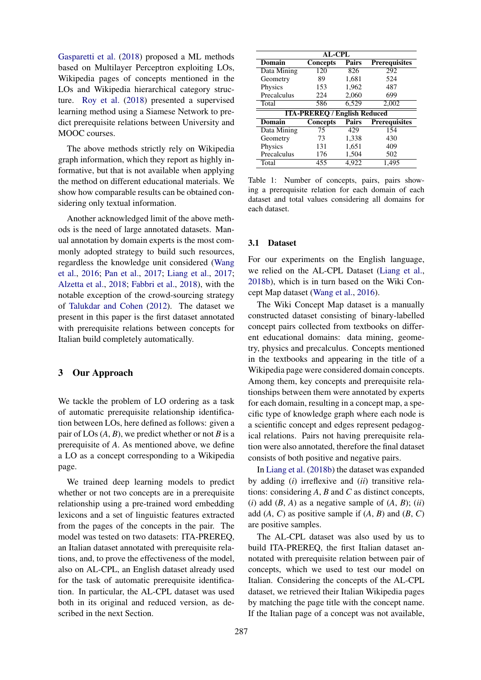[Gasparetti et al.](#page-8-2) [\(2018\)](#page-8-2) proposed a ML methods based on Multilayer Perceptron exploiting LOs, Wikipedia pages of concepts mentioned in the LOs and Wikipedia hierarchical category structure. [Roy et al.](#page-9-20) [\(2018\)](#page-9-20) presented a supervised learning method using a Siamese Network to predict prerequisite relations between University and MOOC courses.

The above methods strictly rely on Wikipedia graph information, which they report as highly informative, but that is not available when applying the method on different educational materials. We show how comparable results can be obtained considering only textual information.

Another acknowledged limit of the above methods is the need of large annotated datasets. Manual annotation by domain experts is the most commonly adopted strategy to build such resources, regardless the knowledge unit considered [\(Wang](#page-9-18) [et al.,](#page-9-18) [2016;](#page-9-18) [Pan et al.,](#page-9-15) [2017;](#page-9-15) [Liang et al.,](#page-9-21) [2017;](#page-9-21) [Alzetta et al.,](#page-8-8) [2018;](#page-8-8) [Fabbri et al.,](#page-8-9) [2018\)](#page-8-9), with the notable exception of the crowd-sourcing strategy of [Talukdar and Cohen](#page-9-16) [\(2012\)](#page-9-16). The dataset we present in this paper is the first dataset annotated with prerequisite relations between concepts for Italian build completely automatically.

## <span id="page-2-0"></span>3 Our Approach

We tackle the problem of LO ordering as a task of automatic prerequisite relationship identification between LOs, here defined as follows: given a pair of LOs  $(A, B)$ , we predict whether or not *B* is a prerequisite of *A*. As mentioned above, we define a LO as a concept corresponding to a Wikipedia page.

We trained deep learning models to predict whether or not two concepts are in a prerequisite relationship using a pre-trained word embedding lexicons and a set of linguistic features extracted from the pages of the concepts in the pair. The model was tested on two datasets: ITA-PREREQ, an Italian dataset annotated with prerequisite relations, and, to prove the effectiveness of the model, also on AL-CPL, an English dataset already used for the task of automatic prerequisite identification. In particular, the AL-CPL dataset was used both in its original and reduced version, as described in the next Section.

<span id="page-2-2"></span>

| AL-CPL                              |                 |              |                      |  |  |  |  |  |
|-------------------------------------|-----------------|--------------|----------------------|--|--|--|--|--|
| Domain                              | <b>Concepts</b> | Pairs        | <b>Prerequisites</b> |  |  |  |  |  |
| Data Mining                         | 120             | 826          | 292                  |  |  |  |  |  |
| Geometry                            | 89              | 1,681        | 524                  |  |  |  |  |  |
| Physics                             | 153             | 1,962        | 487                  |  |  |  |  |  |
| Precalculus                         | 224             | 2,060        | 699                  |  |  |  |  |  |
| Total                               | 586             | 6,529        | 2,002                |  |  |  |  |  |
| <b>ITA-PREREQ / English Reduced</b> |                 |              |                      |  |  |  |  |  |
|                                     |                 |              |                      |  |  |  |  |  |
| Domain                              | <b>Concepts</b> | <b>Pairs</b> | <b>Prerequisites</b> |  |  |  |  |  |
| Data Mining                         | 75              | 429          | 154                  |  |  |  |  |  |
| Geometry                            | 73              | 1,338        | 430                  |  |  |  |  |  |
| Physics                             | 131             | 1,651        | 409                  |  |  |  |  |  |
| Precalculus                         | 176             | 1,504        | 502                  |  |  |  |  |  |

Table 1: Number of concepts, pairs, pairs showing a prerequisite relation for each domain of each dataset and total values considering all domains for each dataset.

#### <span id="page-2-1"></span>3.1 Dataset

For our experiments on the English language, we relied on the AL-CPL Dataset [\(Liang et al.,](#page-9-9) [2018b\)](#page-9-9), which is in turn based on the Wiki Concept Map dataset [\(Wang et al.,](#page-9-18) [2016\)](#page-9-18).

The Wiki Concept Map dataset is a manually constructed dataset consisting of binary-labelled concept pairs collected from textbooks on different educational domains: data mining, geometry, physics and precalculus. Concepts mentioned in the textbooks and appearing in the title of a Wikipedia page were considered domain concepts. Among them, key concepts and prerequisite relationships between them were annotated by experts for each domain, resulting in a concept map, a specific type of knowledge graph where each node is a scientific concept and edges represent pedagogical relations. Pairs not having prerequisite relation were also annotated, therefore the final dataset consists of both positive and negative pairs.

In [Liang et al.](#page-9-9) [\(2018b\)](#page-9-9) the dataset was expanded by adding (*i*) irreflexive and (*ii*) transitive relations: considering *A*, *B* and *C* as distinct concepts, (*i*) add  $(B, A)$  as a negative sample of  $(A, B)$ ;  $(ii)$ add  $(A, C)$  as positive sample if  $(A, B)$  and  $(B, C)$ are positive samples.

The AL-CPL dataset was also used by us to build ITA-PREREQ, the first Italian dataset annotated with prerequisite relation between pair of concepts, which we used to test our model on Italian. Considering the concepts of the AL-CPL dataset, we retrieved their Italian Wikipedia pages by matching the page title with the concept name. If the Italian page of a concept was not available,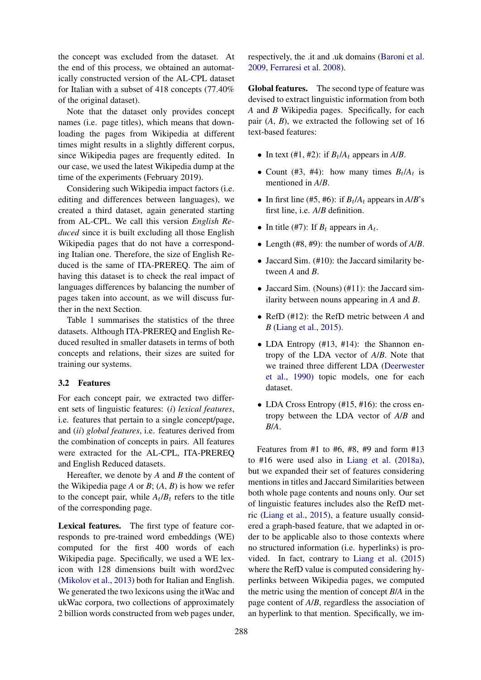the concept was excluded from the dataset. At the end of this process, we obtained an automatically constructed version of the AL-CPL dataset for Italian with a subset of 418 concepts (77.40% of the original dataset).

Note that the dataset only provides concept names (i.e. page titles), which means that downloading the pages from Wikipedia at different times might results in a slightly different corpus, since Wikipedia pages are frequently edited. In our case, we used the latest Wikipedia dump at the time of the experiments (February 2019).

Considering such Wikipedia impact factors (i.e. editing and differences between languages), we created a third dataset, again generated starting from AL-CPL. We call this version *English Reduced* since it is built excluding all those English Wikipedia pages that do not have a corresponding Italian one. Therefore, the size of English Reduced is the same of ITA-PREREQ. The aim of having this dataset is to check the real impact of languages differences by balancing the number of pages taken into account, as we will discuss further in the next Section.

Table [1](#page-2-2) summarises the statistics of the three datasets. Although ITA-PREREQ and English Reduced resulted in smaller datasets in terms of both concepts and relations, their sizes are suited for training our systems.

## <span id="page-3-0"></span>3.2 Features

For each concept pair, we extracted two different sets of linguistic features: (*i*) *lexical features*, i.e. features that pertain to a single concept/page, and (*ii*) *global features*, i.e. features derived from the combination of concepts in pairs. All features were extracted for the AL-CPL, ITA-PREREQ and English Reduced datasets.

Hereafter, we denote by *A* and *B* the content of the Wikipedia page  $A$  or  $B$ ;  $(A, B)$  is how we refer to the concept pair, while  $A_t/B_t$  refers to the title of the corresponding page.

Lexical features. The first type of feature corresponds to pre-trained word embeddings (WE) computed for the first 400 words of each Wikipedia page. Specifically, we used a WE lexicon with 128 dimensions built with word2vec [\(Mikolov et al.,](#page-9-22) [2013\)](#page-9-22) both for Italian and English. We generated the two lexicons using the itWac and ukWac corpora, two collections of approximately 2 billion words constructed from web pages under,

respectively, the .it and .uk domains [\(Baroni et al.](#page-8-10) [2009,](#page-8-10) [Ferraresi et al.](#page-8-11) [2008\)](#page-8-11).

Global features. The second type of feature was devised to extract linguistic information from both *A* and *B* Wikipedia pages. Specifically, for each pair (*A*, *B*), we extracted the following set of 16 text-based features:

- In text (#1, #2): if  $B_t/A_t$  appears in  $A/B$ .
- Count (#3, #4): how many times  $B_t/A_t$  is mentioned in *A*/*B*.
- In first line (#5, #6): if  $B_t/A_t$  appears in  $A/B$ 's first line, i.e. *A*/*B* definition.
- In title (#7): If  $B_t$  appears in  $A_t$ .
- Length (#8, #9): the number of words of *A*/*B*.
- Jaccard Sim. (#10): the Jaccard similarity between *A* and *B*.
- Jaccard Sim. (Nouns) (#11): the Jaccard similarity between nouns appearing in *A* and *B*.
- RefD (#12): the RefD metric between *A* and *B* [\(Liang et al.,](#page-9-17) [2015\)](#page-9-17).
- LDA Entropy (#13, #14): the Shannon entropy of the LDA vector of *A*/*B*. Note that we trained three different LDA [\(Deerwester](#page-8-12) [et al.,](#page-8-12) [1990\)](#page-8-12) topic models, one for each dataset.
- LDA Cross Entropy (#15, #16): the cross entropy between the LDA vector of *A*/*B* and *B*/*A*.

Features from #1 to #6, #8, #9 and form #13 to #16 were used also in [Liang et al.](#page-9-19) [\(2018a\)](#page-9-19), but we expanded their set of features considering mentions in titles and Jaccard Similarities between both whole page contents and nouns only. Our set of linguistic features includes also the RefD metric [\(Liang et al.,](#page-9-17) [2015\)](#page-9-17), a feature usually considered a graph-based feature, that we adapted in order to be applicable also to those contexts where no structured information (i.e. hyperlinks) is provided. In fact, contrary to [Liang et al.](#page-9-17) [\(2015\)](#page-9-17) where the RefD value is computed considering hyperlinks between Wikipedia pages, we computed the metric using the mention of concept *B*/*A* in the page content of *A*/*B*, regardless the association of an hyperlink to that mention. Specifically, we im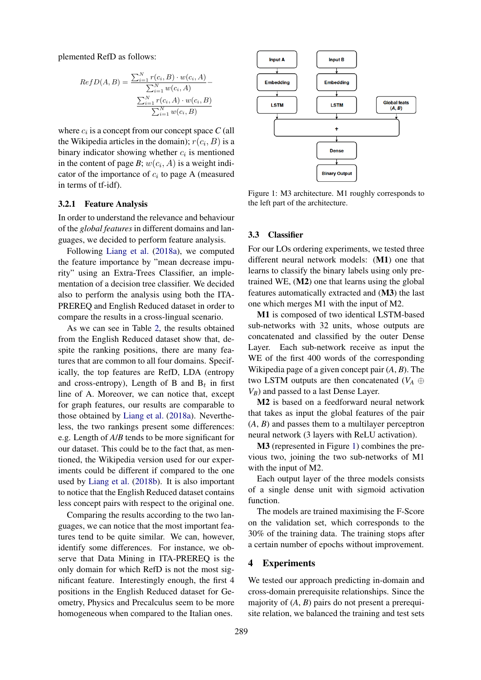plemented RefD as follows:

$$
RefD(A, B) = \frac{\sum_{i=1}^{N} r(c_i, B) \cdot w(c_i, A)}{\sum_{i=1}^{N} w(c_i, A)} - \frac{\sum_{i=1}^{N} r(c_i, A) \cdot w(c_i, B)}{\sum_{i=1}^{N} w(c_i, B)}
$$

where  $c_i$  is a concept from our concept space  $C$  (all the Wikipedia articles in the domain);  $r(c_i, B)$  is a binary indicator showing whether  $c_i$  is mentioned in the content of page  $B$ ;  $w(c_i, A)$  is a weight indicator of the importance of  $c_i$  to page A (measured in terms of tf-idf).

#### <span id="page-4-1"></span>3.2.1 Feature Analysis

In order to understand the relevance and behaviour of the *global features* in different domains and languages, we decided to perform feature analysis.

Following [Liang et al.](#page-9-19) [\(2018a\)](#page-9-19), we computed the feature importance by "mean decrease impurity" using an Extra-Trees Classifier, an implementation of a decision tree classifier. We decided also to perform the analysis using both the ITA-PREREQ and English Reduced dataset in order to compare the results in a cross-lingual scenario.

As we can see in Table [2,](#page-5-0) the results obtained from the English Reduced dataset show that, despite the ranking positions, there are many features that are common to all four domains. Specifically, the top features are RefD, LDA (entropy and cross-entropy), Length of B and  $B_t$  in first line of A. Moreover, we can notice that, except for graph features, our results are comparable to those obtained by [Liang et al.](#page-9-19) [\(2018a\)](#page-9-19). Nevertheless, the two rankings present some differences: e.g. Length of *A*/*B* tends to be more significant for our dataset. This could be to the fact that, as mentioned, the Wikipedia version used for our experiments could be different if compared to the one used by [Liang et al.](#page-9-9) [\(2018b\)](#page-9-9). It is also important to notice that the English Reduced dataset contains less concept pairs with respect to the original one.

Comparing the results according to the two languages, we can notice that the most important features tend to be quite similar. We can, however, identify some differences. For instance, we observe that Data Mining in ITA-PREREQ is the only domain for which RefD is not the most significant feature. Interestingly enough, the first 4 positions in the English Reduced dataset for Geometry, Physics and Precalculus seem to be more homogeneous when compared to the Italian ones.

<span id="page-4-3"></span>

Figure 1: M3 architecture. M1 roughly corresponds to the left part of the architecture.

#### <span id="page-4-0"></span>3.3 Classifier

For our LOs ordering experiments, we tested three different neural network models: (M1) one that learns to classify the binary labels using only pretrained WE, (M2) one that learns using the global features automatically extracted and (M3) the last one which merges M1 with the input of M2.

M1 is composed of two identical LSTM-based sub-networks with 32 units, whose outputs are concatenated and classified by the outer Dense Layer. Each sub-network receive as input the WE of the first 400 words of the corresponding Wikipedia page of a given concept pair (*A*, *B*). The two LSTM outputs are then concatenated ( $V_A \oplus$ *VB*) and passed to a last Dense Layer.

M2 is based on a feedforward neural network that takes as input the global features of the pair (*A*, *B*) and passes them to a multilayer perceptron neural network (3 layers with ReLU activation).

M3 (represented in Figure [1\)](#page-4-3) combines the previous two, joining the two sub-networks of M1 with the input of M2.

Each output layer of the three models consists of a single dense unit with sigmoid activation function.

The models are trained maximising the F-Score on the validation set, which corresponds to the 30% of the training data. The training stops after a certain number of epochs without improvement.

#### <span id="page-4-2"></span>4 Experiments

We tested our approach predicting in-domain and cross-domain prerequisite relationships. Since the majority of (*A*, *B*) pairs do not present a prerequisite relation, we balanced the training and test sets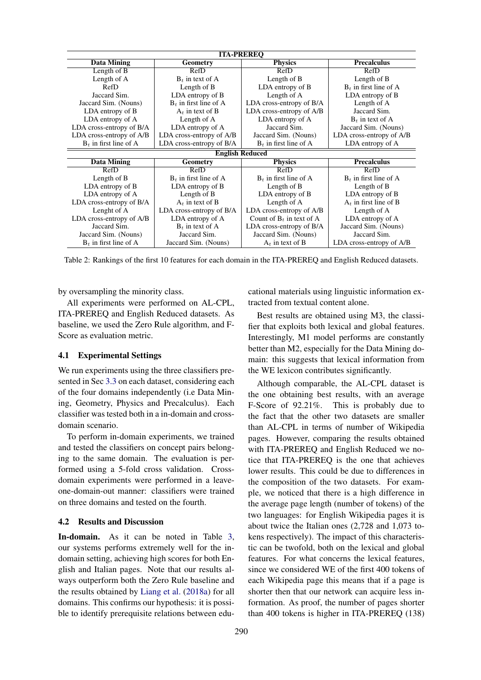<span id="page-5-0"></span>

| <b>ITA-PREREQ</b>        |                                   |                             |                          |  |  |  |  |  |  |
|--------------------------|-----------------------------------|-----------------------------|--------------------------|--|--|--|--|--|--|
| <b>Data Mining</b>       | <b>Physics</b><br><b>Geometry</b> |                             | <b>Precalculus</b>       |  |  |  |  |  |  |
| Length of B              | RefD                              | RefD                        | RefD                     |  |  |  |  |  |  |
| Length of A              | $B_t$ in text of A                | Length of B                 | Length of B              |  |  |  |  |  |  |
| <b>RefD</b>              | Length of B                       | LDA entropy of B            | $B_t$ in first line of A |  |  |  |  |  |  |
| Jaccard Sim.             | LDA entropy of B                  | Length of A                 | LDA entropy of B         |  |  |  |  |  |  |
| Jaccard Sim. (Nouns)     | $B_t$ in first line of A          | LDA cross-entropy of B/A    | Length of A              |  |  |  |  |  |  |
| LDA entropy of B         | $A_t$ in text of B                | LDA cross-entropy of A/B    | Jaccard Sim.             |  |  |  |  |  |  |
| LDA entropy of A         | Length of A                       | LDA entropy of A            | $B_t$ in text of A       |  |  |  |  |  |  |
| LDA cross-entropy of B/A | LDA entropy of A                  | Jaccard Sim.                | Jaccard Sim. (Nouns)     |  |  |  |  |  |  |
| LDA cross-entropy of A/B | LDA cross-entropy of A/B          | Jaccard Sim. (Nouns)        | LDA cross-entropy of A/B |  |  |  |  |  |  |
| $B_t$ in first line of A | LDA cross-entropy of B/A          | $B_t$ in first line of A    | LDA entropy of A         |  |  |  |  |  |  |
| <b>English Reduced</b>   |                                   |                             |                          |  |  |  |  |  |  |
| Data Mining              | Geometry                          | <b>Physics</b>              | <b>Precalculus</b>       |  |  |  |  |  |  |
| RefD                     | RefD                              | RefD                        | RefD                     |  |  |  |  |  |  |
| Length of B              | $B_t$ in first line of A          | $B_t$ in first line of A    | $B_t$ in first line of A |  |  |  |  |  |  |
| LDA entropy of B         | LDA entropy of B                  | Length of B                 | Length of B              |  |  |  |  |  |  |
| LDA entropy of A         | Length of B                       | LDA entropy of B            | LDA entropy of B         |  |  |  |  |  |  |
| LDA cross-entropy of B/A | $A_t$ in text of B                | Length of A                 | $A_t$ in first line of B |  |  |  |  |  |  |
| Lenght of A              | LDA cross-entropy of B/A          | LDA cross-entropy of A/B    | Length of A              |  |  |  |  |  |  |
| LDA cross-entropy of A/B | LDA entropy of A                  | Count of $B_t$ in text of A | LDA entropy of A         |  |  |  |  |  |  |
| Jaccard Sim.             | $B_t$ in text of A                | LDA cross-entropy of B/A    | Jaccard Sim. (Nouns)     |  |  |  |  |  |  |
| Jaccard Sim. (Nouns)     | Jaccard Sim.                      | Jaccard Sim. (Nouns)        | Jaccard Sim.             |  |  |  |  |  |  |
| $B_t$ in first line of A | Jaccard Sim. (Nouns)              | $A_t$ in text of B          | LDA cross-entropy of A/B |  |  |  |  |  |  |

Table 2: Rankings of the first 10 features for each domain in the ITA-PREREQ and English Reduced datasets.

by oversampling the minority class.

All experiments were performed on AL-CPL, ITA-PREREQ and English Reduced datasets. As baseline, we used the Zero Rule algorithm, and F-Score as evaluation metric.

#### 4.1 Experimental Settings

We run experiments using the three classifiers presented in Sec [3.3](#page-4-0) on each dataset, considering each of the four domains independently (i.e Data Mining, Geometry, Physics and Precalculus). Each classifier was tested both in a in-domain and crossdomain scenario.

To perform in-domain experiments, we trained and tested the classifiers on concept pairs belonging to the same domain. The evaluation is performed using a 5-fold cross validation. Crossdomain experiments were performed in a leaveone-domain-out manner: classifiers were trained on three domains and tested on the fourth.

#### 4.2 Results and Discussion

In-domain. As it can be noted in Table [3,](#page-6-0) our systems performs extremely well for the indomain setting, achieving high scores for both English and Italian pages. Note that our results always outperform both the Zero Rule baseline and the results obtained by [Liang et al.](#page-9-19) [\(2018a\)](#page-9-19) for all domains. This confirms our hypothesis: it is possible to identify prerequisite relations between edu-

cational materials using linguistic information extracted from textual content alone.

Best results are obtained using M3, the classifier that exploits both lexical and global features. Interestingly, M1 model performs are constantly better than M2, especially for the Data Mining domain: this suggests that lexical information from the WE lexicon contributes significantly.

Although comparable, the AL-CPL dataset is the one obtaining best results, with an average F-Score of 92.21%. This is probably due to the fact that the other two datasets are smaller than AL-CPL in terms of number of Wikipedia pages. However, comparing the results obtained with ITA-PREREQ and English Reduced we notice that ITA-PREREQ is the one that achieves lower results. This could be due to differences in the composition of the two datasets. For example, we noticed that there is a high difference in the average page length (number of tokens) of the two languages: for English Wikipedia pages it is about twice the Italian ones (2,728 and 1,073 tokens respectively). The impact of this characteristic can be twofold, both on the lexical and global features. For what concerns the lexical features, since we considered WE of the first 400 tokens of each Wikipedia page this means that if a page is shorter then that our network can acquire less information. As proof, the number of pages shorter than 400 tokens is higher in ITA-PREREQ (138)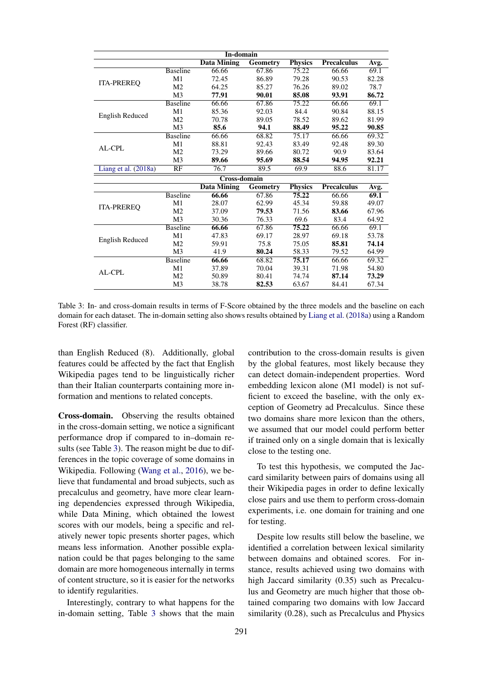<span id="page-6-0"></span>

| In-domain              |                 |                    |                 |                |                    |       |  |  |
|------------------------|-----------------|--------------------|-----------------|----------------|--------------------|-------|--|--|
|                        |                 | <b>Data Mining</b> | <b>Geometry</b> | <b>Physics</b> | <b>Precalculus</b> | Avg.  |  |  |
| <b>ITA-PREREQ</b>      | <b>Baseline</b> | 66.66              | 67.86           | 75.22          | 66.66              | 69.1  |  |  |
|                        | M1              | 72.45              | 86.89           | 79.28          | 90.53              | 82.28 |  |  |
|                        | M <sub>2</sub>  | 64.25              | 85.27           | 76.26          | 89.02              | 78.7  |  |  |
|                        | M3              | 77.91              | 90.01           | 85.08          | 93.91              | 86.72 |  |  |
| <b>English Reduced</b> | <b>Baseline</b> | 66.66              | 67.86           | 75.22          | 66.66              | 69.1  |  |  |
|                        | M1              | 85.36              | 92.03           | 84.4           | 90.84              | 88.15 |  |  |
|                        | M <sub>2</sub>  | 70.78              | 89.05           | 78.52          | 89.62              | 81.99 |  |  |
|                        | M <sub>3</sub>  | 85.6               | 94.1            | 88.49          | 95.22              | 90.85 |  |  |
| AL-CPL                 | <b>Baseline</b> | 66.66              | 68.82           | 75.17          | 66.66              | 69.32 |  |  |
|                        | M1              | 88.81              | 92.43           | 83.49          | 92.48              | 89.30 |  |  |
|                        | M <sub>2</sub>  | 73.29              | 89.66           | 80.72          | 90.9               | 83.64 |  |  |
|                        | M <sub>3</sub>  | 89.66              | 95.69           | 88.54          | 94.95              | 92.21 |  |  |
| Liang et al. (2018a)   | RF              | 76.7               | 89.5            | 69.9           | 88.6               | 81.17 |  |  |
| <b>Cross-domain</b>    |                 |                    |                 |                |                    |       |  |  |
|                        |                 | <b>Data Mining</b> | <b>Geometry</b> | <b>Physics</b> | <b>Precalculus</b> | Avg.  |  |  |
| <b>ITA-PREREO</b>      | <b>Baseline</b> | 66.66              | 67.86           | 75.22          | 66.66              | 69.1  |  |  |
|                        | M1              | 28.07              | 62.99           | 45.34          | 59.88              | 49.07 |  |  |
|                        | M <sub>2</sub>  | 37.09              | 79.53           | 71.56          | 83.66              | 67.96 |  |  |
|                        | M <sub>3</sub>  | 30.36              | 76.33           | 69.6           | 83.4               | 64.92 |  |  |
| <b>English Reduced</b> | <b>Baseline</b> | 66.66              | 67.86           | 75.22          | 66.66              | 69.1  |  |  |
|                        | M1              | 47.83              | 69.17           | 28.97          | 69.18              | 53.78 |  |  |
|                        | M <sub>2</sub>  | 59.91              | 75.8            | 75.05          | 85.81              | 74.14 |  |  |
|                        | M <sub>3</sub>  | 41.9               | 80.24           | 58.33          | 79.52              | 64.99 |  |  |
| AL-CPL                 | <b>Baseline</b> | 66.66              | 68.82           | 75.17          | 66.66              | 69.32 |  |  |
|                        | M1              | 37.89              | 70.04           | 39.31          | 71.98              | 54.80 |  |  |
|                        | M <sub>2</sub>  | 50.89              | 80.41           | 74.74          | 87.14              | 73.29 |  |  |
|                        | M <sub>3</sub>  | 38.78              | 82.53           | 63.67          | 84.41              | 67.34 |  |  |

Table 3: In- and cross-domain results in terms of F-Score obtained by the three models and the baseline on each domain for each dataset. The in-domain setting also shows results obtained by [Liang et al.](#page-9-19) [\(2018a\)](#page-9-19) using a Random Forest (RF) classifier.

than English Reduced (8). Additionally, global features could be affected by the fact that English Wikipedia pages tend to be linguistically richer than their Italian counterparts containing more information and mentions to related concepts.

Cross-domain. Observing the results obtained in the cross-domain setting, we notice a significant performance drop if compared to in–domain results (see Table [3\)](#page-6-0). The reason might be due to differences in the topic coverage of some domains in Wikipedia. Following [\(Wang et al.,](#page-9-18) [2016\)](#page-9-18), we believe that fundamental and broad subjects, such as precalculus and geometry, have more clear learning dependencies expressed through Wikipedia, while Data Mining, which obtained the lowest scores with our models, being a specific and relatively newer topic presents shorter pages, which means less information. Another possible explanation could be that pages belonging to the same domain are more homogeneous internally in terms of content structure, so it is easier for the networks to identify regularities.

Interestingly, contrary to what happens for the in-domain setting, Table [3](#page-6-0) shows that the main

contribution to the cross-domain results is given by the global features, most likely because they can detect domain-independent properties. Word embedding lexicon alone (M1 model) is not sufficient to exceed the baseline, with the only exception of Geometry ad Precalculus. Since these two domains share more lexicon than the others, we assumed that our model could perform better if trained only on a single domain that is lexically close to the testing one.

To test this hypothesis, we computed the Jaccard similarity between pairs of domains using all their Wikipedia pages in order to define lexically close pairs and use them to perform cross-domain experiments, i.e. one domain for training and one for testing.

Despite low results still below the baseline, we identified a correlation between lexical similarity between domains and obtained scores. For instance, results achieved using two domains with high Jaccard similarity (0.35) such as Precalculus and Geometry are much higher that those obtained comparing two domains with low Jaccard similarity (0.28), such as Precalculus and Physics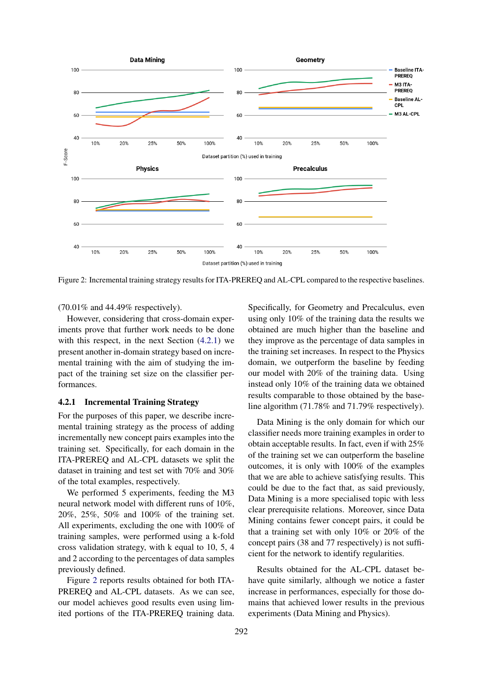<span id="page-7-1"></span>

Figure 2: Incremental training strategy results for ITA-PREREQ and AL-CPL compared to the respective baselines.

(70.01% and 44.49% respectively).

However, considering that cross-domain experiments prove that further work needs to be done with this respect, in the next Section [\(4.2.1\)](#page-7-0) we present another in-domain strategy based on incremental training with the aim of studying the impact of the training set size on the classifier performances.

## <span id="page-7-0"></span>4.2.1 Incremental Training Strategy

For the purposes of this paper, we describe incremental training strategy as the process of adding incrementally new concept pairs examples into the training set. Specifically, for each domain in the ITA-PREREQ and AL-CPL datasets we split the dataset in training and test set with 70% and 30% of the total examples, respectively.

We performed 5 experiments, feeding the M3 neural network model with different runs of 10%, 20%, 25%, 50% and 100% of the training set. All experiments, excluding the one with 100% of training samples, were performed using a k-fold cross validation strategy, with k equal to 10, 5, 4 and 2 according to the percentages of data samples previously defined.

Figure [2](#page-7-1) reports results obtained for both ITA-PREREQ and AL-CPL datasets. As we can see, our model achieves good results even using limited portions of the ITA-PREREQ training data.

Specifically, for Geometry and Precalculus, even using only 10% of the training data the results we obtained are much higher than the baseline and they improve as the percentage of data samples in the training set increases. In respect to the Physics domain, we outperform the baseline by feeding our model with 20% of the training data. Using instead only 10% of the training data we obtained results comparable to those obtained by the baseline algorithm (71.78% and 71.79% respectively).

Data Mining is the only domain for which our classifier needs more training examples in order to obtain acceptable results. In fact, even if with 25% of the training set we can outperform the baseline outcomes, it is only with 100% of the examples that we are able to achieve satisfying results. This could be due to the fact that, as said previously, Data Mining is a more specialised topic with less clear prerequisite relations. Moreover, since Data Mining contains fewer concept pairs, it could be that a training set with only 10% or 20% of the concept pairs (38 and 77 respectively) is not sufficient for the network to identify regularities.

Results obtained for the AL-CPL dataset behave quite similarly, although we notice a faster increase in performances, especially for those domains that achieved lower results in the previous experiments (Data Mining and Physics).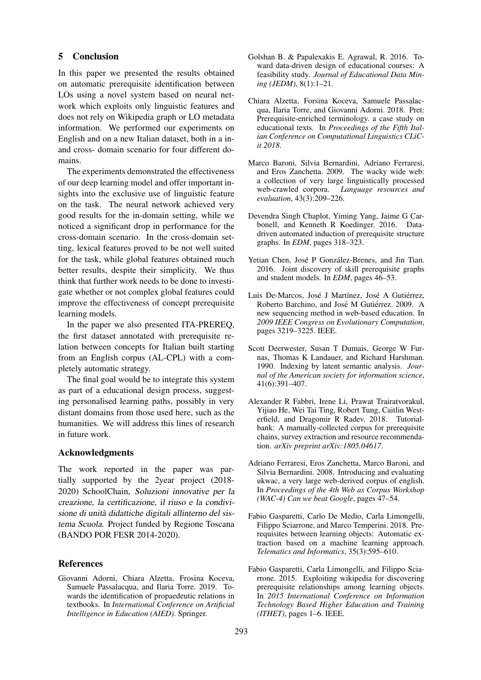#### <span id="page-8-3"></span>5 Conclusion

In this paper we presented the results obtained on automatic prerequisite identification between LOs using a novel system based on neural network which exploits only linguistic features and does not rely on Wikipedia graph or LO metadata information. We performed our experiments on English and on a new Italian dataset, both in a inand cross- domain scenario for four different domains.

The experiments demonstrated the effectiveness of our deep learning model and offer important insights into the exclusive use of linguistic feature on the task. The neural network achieved very good results for the in-domain setting, while we noticed a significant drop in performance for the cross-domain scenario. In the cross-domain setting, lexical features proved to be not well suited for the task, while global features obtained much better results, despite their simplicity. We thus think that further work needs to be done to investigate whether or not complex global features could improve the effectiveness of concept prerequisite learning models.

In the paper we also presented ITA-PREREQ, the first dataset annotated with prerequisite relation between concepts for Italian built starting from an English corpus (AL-CPL) with a completely automatic strategy.

The final goal would be to integrate this system as part of a educational design process, suggesting personalised learning paths, possibly in very distant domains from those used here, such as the humanities. We will address this lines of research in future work.

#### Acknowledgments

The work reported in the paper was partially supported by the 2year project (2018- 2020) SchoolChain, Soluzioni innovative per la creazione, la certificazione, il riuso e la condivisione di unita didattiche digitali allinterno del sis- ` tema Scuola. Project funded by Regione Toscana (BANDO POR FESR 2014-2020).

## **References**

<span id="page-8-7"></span>Giovanni Adorni, Chiara Alzetta, Frosina Koceva, Samuele Passalacqua, and Ilaria Torre. 2019. Towards the identification of propaedeutic relations in textbooks. In *International Conference on Artificial Intelligence in Education (AIED)*. Springer.

- <span id="page-8-4"></span>Golshan B. & Papalexakis E. Agrawal, R. 2016. Toward data-driven design of educational courses: A feasibility study. *Journal of Educational Data Mining (JEDM)*, 8(1):1–21.
- <span id="page-8-8"></span>Chiara Alzetta, Forsina Koceva, Samuele Passalacqua, Ilaria Torre, and Giovanni Adorni. 2018. Pret: Prerequisite-enriched terminology. a case study on educational texts. In *Proceedings of the Fifth Italian Conference on Computational Linguistics CLiCit 2018*.
- <span id="page-8-10"></span>Marco Baroni, Silvia Bernardini, Adriano Ferraresi, and Eros Zanchetta. 2009. The wacky wide web: a collection of very large linguistically processed web-crawled corpora. *Language resources and evaluation*, 43(3):209–226.
- <span id="page-8-5"></span>Devendra Singh Chaplot, Yiming Yang, Jaime G Carbonell, and Kenneth R Koedinger. 2016. Datadriven automated induction of prerequisite structure graphs. In *EDM*, pages 318–323.
- <span id="page-8-1"></span>Yetian Chen, José P González-Brenes, and Jin Tian. 2016. Joint discovery of skill prerequisite graphs and student models. In *EDM*, pages 46–53.
- <span id="page-8-0"></span>Luis De-Marcos, José J Martínez, José A Gutiérrez, Roberto Barchino, and José M Gutiérrez. 2009. A new sequencing method in web-based education. In *2009 IEEE Congress on Evolutionary Computation*, pages 3219–3225. IEEE.
- <span id="page-8-12"></span>Scott Deerwester, Susan T Dumais, George W Furnas, Thomas K Landauer, and Richard Harshman. 1990. Indexing by latent semantic analysis. *Journal of the American society for information science*, 41(6):391–407.
- <span id="page-8-9"></span>Alexander R Fabbri, Irene Li, Prawat Trairatvorakul, Yijiao He, Wei Tai Ting, Robert Tung, Caitlin Westerfield, and Dragomir R Radev. 2018. Tutorialbank: A manually-collected corpus for prerequisite chains, survey extraction and resource recommendation. *arXiv preprint arXiv:1805.04617*.
- <span id="page-8-11"></span>Adriano Ferraresi, Eros Zanchetta, Marco Baroni, and Silvia Bernardini. 2008. Introducing and evaluating ukwac, a very large web-derived corpus of english. In *Proceedings of the 4th Web as Corpus Workshop (WAC-4) Can we beat Google*, pages 47–54.
- <span id="page-8-2"></span>Fabio Gasparetti, Carlo De Medio, Carla Limongelli, Filippo Sciarrone, and Marco Temperini. 2018. Prerequisites between learning objects: Automatic extraction based on a machine learning approach. *Telematics and Informatics*, 35(3):595–610.
- <span id="page-8-6"></span>Fabio Gasparetti, Carla Limongelli, and Filippo Sciarrone. 2015. Exploiting wikipedia for discovering prerequisite relationships among learning objects. In *2015 International Conference on Information Technology Based Higher Education and Training (ITHET)*, pages 1–6. IEEE.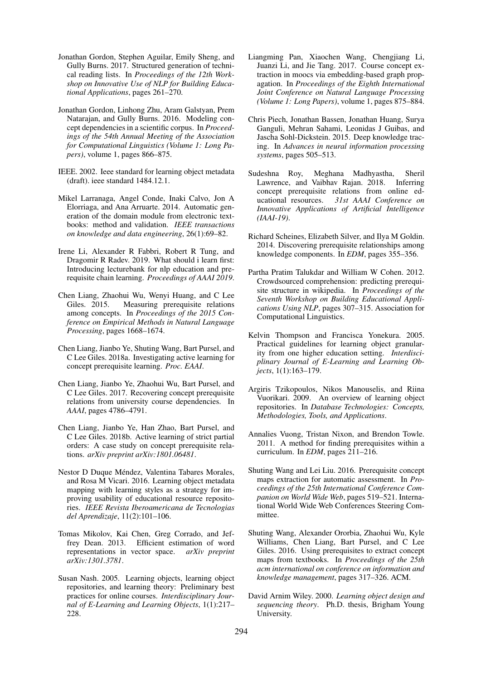- <span id="page-9-4"></span>Jonathan Gordon, Stephen Aguilar, Emily Sheng, and Gully Burns. 2017. Structured generation of technical reading lists. In *Proceedings of the 12th Workshop on Innovative Use of NLP for Building Educational Applications*, pages 261–270.
- <span id="page-9-13"></span>Jonathan Gordon, Linhong Zhu, Aram Galstyan, Prem Natarajan, and Gully Burns. 2016. Modeling concept dependencies in a scientific corpus. In *Proceedings of the 54th Annual Meeting of the Association for Computational Linguistics (Volume 1: Long Papers)*, volume 1, pages 866–875.
- <span id="page-9-1"></span>IEEE. 2002. Ieee standard for learning object metadata (draft). ieee standard 1484.12.1.
- <span id="page-9-12"></span>Mikel Larranaga, Angel Conde, Inaki Calvo, Jon A Elorriaga, and Ana Arruarte. 2014. Automatic generation of the domain module from electronic textbooks: method and validation. *IEEE transactions on knowledge and data engineering*, 26(1):69–82.
- <span id="page-9-14"></span>Irene Li, Alexander R Fabbri, Robert R Tung, and Dragomir R Radev. 2019. What should i learn first: Introducing lecturebank for nlp education and prerequisite chain learning. *Proceedings of AAAI 2019*.
- <span id="page-9-17"></span>Chen Liang, Zhaohui Wu, Wenyi Huang, and C Lee Giles. 2015. Measuring prerequisite relations among concepts. In *Proceedings of the 2015 Conference on Empirical Methods in Natural Language Processing*, pages 1668–1674.
- <span id="page-9-19"></span>Chen Liang, Jianbo Ye, Shuting Wang, Bart Pursel, and C Lee Giles. 2018a. Investigating active learning for concept prerequisite learning. *Proc. EAAI*.
- <span id="page-9-21"></span>Chen Liang, Jianbo Ye, Zhaohui Wu, Bart Pursel, and C Lee Giles. 2017. Recovering concept prerequisite relations from university course dependencies. In *AAAI*, pages 4786–4791.
- <span id="page-9-9"></span>Chen Liang, Jianbo Ye, Han Zhao, Bart Pursel, and C Lee Giles. 2018b. Active learning of strict partial orders: A case study on concept prerequisite relations. *arXiv preprint arXiv:1801.06481*.
- <span id="page-9-7"></span>Nestor D Duque Méndez, Valentina Tabares Morales, and Rosa M Vicari. 2016. Learning object metadata mapping with learning styles as a strategy for improving usability of educational resource repositories. *IEEE Revista Iberoamericana de Tecnologias del Aprendizaje*, 11(2):101–106.
- <span id="page-9-22"></span>Tomas Mikolov, Kai Chen, Greg Corrado, and Jeffrey Dean. 2013. Efficient estimation of word representations in vector space. *arXiv preprint arXiv:1301.3781*.
- <span id="page-9-10"></span>Susan Nash. 2005. Learning objects, learning object repositories, and learning theory: Preliminary best practices for online courses. *Interdisciplinary Journal of E-Learning and Learning Objects*, 1(1):217– 228.
- <span id="page-9-15"></span>Liangming Pan, Xiaochen Wang, Chengjiang Li, Juanzi Li, and Jie Tang. 2017. Course concept extraction in moocs via embedding-based graph propagation. In *Proceedings of the Eighth International Joint Conference on Natural Language Processing (Volume 1: Long Papers)*, volume 1, pages 875–884.
- <span id="page-9-6"></span>Chris Piech, Jonathan Bassen, Jonathan Huang, Surya Ganguli, Mehran Sahami, Leonidas J Guibas, and Jascha Sohl-Dickstein. 2015. Deep knowledge tracing. In *Advances in neural information processing systems*, pages 505–513.
- <span id="page-9-20"></span>Sudeshna Roy, Meghana Madhyastha, Sheril Lawrence, and Vaibhav Rajan. 2018. Inferring concept prerequisite relations from online educational resources. *31st AAAI Conference on Innovative Applications of Artificial Intelligence (IAAI-19)*.
- <span id="page-9-8"></span>Richard Scheines, Elizabeth Silver, and Ilya M Goldin. 2014. Discovering prerequisite relationships among knowledge components. In *EDM*, pages 355–356.
- <span id="page-9-16"></span>Partha Pratim Talukdar and William W Cohen. 2012. Crowdsourced comprehension: predicting prerequisite structure in wikipedia. In *Proceedings of the Seventh Workshop on Building Educational Applications Using NLP*, pages 307–315. Association for Computational Linguistics.
- <span id="page-9-2"></span>Kelvin Thompson and Francisca Yonekura. 2005. Practical guidelines for learning object granularity from one higher education setting. *Interdisciplinary Journal of E-Learning and Learning Objects*, 1(1):163–179.
- <span id="page-9-3"></span>Argiris Tzikopoulos, Nikos Manouselis, and Riina Vuorikari. 2009. An overview of learning object repositories. In *Database Technologies: Concepts, Methodologies, Tools, and Applications*.
- <span id="page-9-5"></span>Annalies Vuong, Tristan Nixon, and Brendon Towle. 2011. A method for finding prerequisites within a curriculum. In *EDM*, pages 211–216.
- <span id="page-9-11"></span>Shuting Wang and Lei Liu. 2016. Prerequisite concept maps extraction for automatic assessment. In *Proceedings of the 25th International Conference Companion on World Wide Web*, pages 519–521. International World Wide Web Conferences Steering Committee.
- <span id="page-9-18"></span>Shuting Wang, Alexander Ororbia, Zhaohui Wu, Kyle Williams, Chen Liang, Bart Pursel, and C Lee Giles. 2016. Using prerequisites to extract concept maps from textbooks. In *Proceedings of the 25th acm international on conference on information and knowledge management*, pages 317–326. ACM.
- <span id="page-9-0"></span>David Arnim Wiley. 2000. *Learning object design and sequencing theory*. Ph.D. thesis, Brigham Young University.